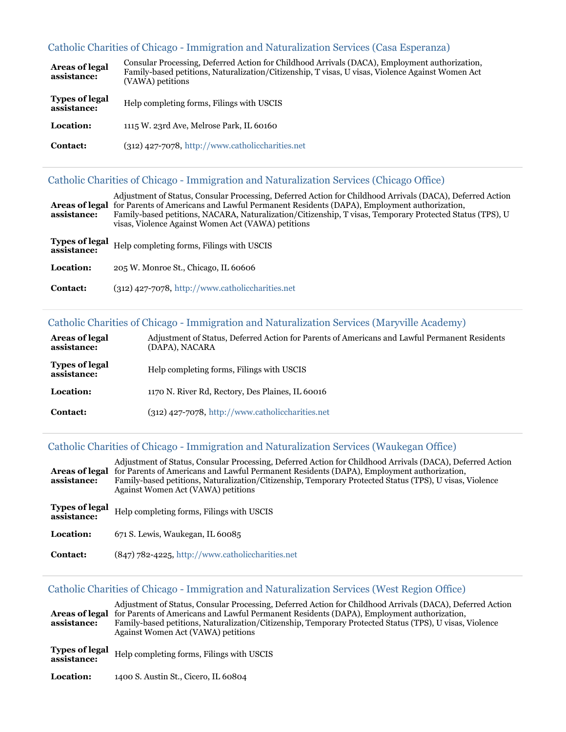# [Catholic Charities of Chicago - Immigration and Naturalization Services \(Casa Esperanza\)](https://www.immigrationadvocates.org/nonprofit/legaldirectory/organization.392856-Catholic_Charities_of_Chicago_Immigration_and_Naturalization_Services_Casa)

| Areas of legal<br>assistance:        | Consular Processing, Deferred Action for Childhood Arrivals (DACA), Employment authorization,<br>Family-based petitions, Naturalization/Citizenship, T visas, U visas, Violence Against Women Act<br>(VAWA) petitions |
|--------------------------------------|-----------------------------------------------------------------------------------------------------------------------------------------------------------------------------------------------------------------------|
| <b>Types of legal</b><br>assistance: | Help completing forms, Filings with USCIS                                                                                                                                                                             |
| Location:                            | 1115 W. 23rd Ave, Melrose Park, IL 60160                                                                                                                                                                              |
| <b>Contact:</b>                      | $(312)$ 427-7078, http://www.catholiccharities.net                                                                                                                                                                    |

## [Catholic Charities of Chicago - Immigration and Naturalization Services \(Chicago Office\)](https://www.immigrationadvocates.org/nonprofit/legaldirectory/organization.392855-Catholic_Charities_of_Chicago_Immigration_and_Naturalization_Services_Chic)

| assistance:                          | Adjustment of Status, Consular Processing, Deferred Action for Childhood Arrivals (DACA), Deferred Action<br><b>Areas of legal</b> for Parents of Americans and Lawful Permanent Residents (DAPA), Employment authorization,<br>Family-based petitions, NACARA, Naturalization/Citizenship, T visas, Temporary Protected Status (TPS), U<br>visas, Violence Against Women Act (VAWA) petitions |
|--------------------------------------|------------------------------------------------------------------------------------------------------------------------------------------------------------------------------------------------------------------------------------------------------------------------------------------------------------------------------------------------------------------------------------------------|
| <b>Types of legal</b><br>assistance: | Help completing forms, Filings with USCIS                                                                                                                                                                                                                                                                                                                                                      |
| Location:                            | 205 W. Monroe St., Chicago, IL 60606                                                                                                                                                                                                                                                                                                                                                           |
| <b>Contact:</b>                      | $(312)$ 427-7078, http://www.catholiccharities.net                                                                                                                                                                                                                                                                                                                                             |

# [Catholic Charities of Chicago - Immigration and Naturalization Services \(Maryville Academy\)](https://www.immigrationadvocates.org/nonprofit/legaldirectory/organization.392854-Catholic_Charities_of_Chicago_Immigration_and_Naturalization_Services_Mary)

| Areas of legal<br>assistance:        | Adjustment of Status, Deferred Action for Parents of Americans and Lawful Permanent Residents<br>(DAPA), NACARA |
|--------------------------------------|-----------------------------------------------------------------------------------------------------------------|
| <b>Types of legal</b><br>assistance: | Help completing forms, Filings with USCIS                                                                       |
| Location:                            | 1170 N. River Rd, Rectory, Des Plaines, IL 60016                                                                |
| <b>Contact:</b>                      | $(312)$ 427-7078, http://www.catholiccharities.net                                                              |

### [Catholic Charities of Chicago - Immigration and Naturalization Services \(Waukegan Office\)](https://www.immigrationadvocates.org/nonprofit/legaldirectory/organization.392857-Catholic_Charities_of_Chicago_Immigration_and_Naturalization_Services_Wauk)

| assistance:                          | Adjustment of Status, Consular Processing, Deferred Action for Childhood Arrivals (DACA), Deferred Action<br>Areas of legal for Parents of Americans and Lawful Permanent Residents (DAPA), Employment authorization,<br>Family-based petitions, Naturalization/Citizenship, Temporary Protected Status (TPS), U visas, Violence<br>Against Women Act (VAWA) petitions |
|--------------------------------------|------------------------------------------------------------------------------------------------------------------------------------------------------------------------------------------------------------------------------------------------------------------------------------------------------------------------------------------------------------------------|
| <b>Types of legal</b><br>assistance: | Help completing forms, Filings with USCIS                                                                                                                                                                                                                                                                                                                              |
| <b>Location:</b>                     | 671 S. Lewis, Waukegan, IL 60085                                                                                                                                                                                                                                                                                                                                       |
| Contact:                             | (847) 782-4225, http://www.catholiccharities.net                                                                                                                                                                                                                                                                                                                       |

# [Catholic Charities of Chicago - Immigration and Naturalization Services \(West Region Office\)](https://www.immigrationadvocates.org/nonprofit/legaldirectory/organization.392858-Catholic_Charities_of_Chicago_Immigration_and_Naturalization_Services_West)

| assistance:                          | Adjustment of Status, Consular Processing, Deferred Action for Childhood Arrivals (DACA), Deferred Action<br>Areas of legal for Parents of Americans and Lawful Permanent Residents (DAPA), Employment authorization,<br>Family-based petitions, Naturalization/Citizenship, Temporary Protected Status (TPS), U visas, Violence<br>Against Women Act (VAWA) petitions |
|--------------------------------------|------------------------------------------------------------------------------------------------------------------------------------------------------------------------------------------------------------------------------------------------------------------------------------------------------------------------------------------------------------------------|
| <b>Types of legal</b><br>assistance: | Help completing forms, Filings with USCIS                                                                                                                                                                                                                                                                                                                              |
| Location:                            | 1400 S. Austin St., Cicero, IL 60804                                                                                                                                                                                                                                                                                                                                   |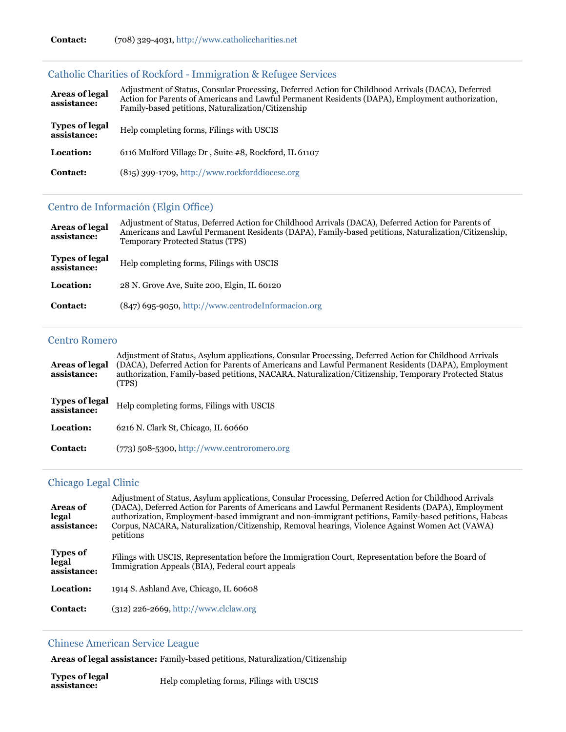| Areas of legal<br>assistance:        | Adjustment of Status, Consular Processing, Deferred Action for Childhood Arrivals (DACA), Deferred<br>Action for Parents of Americans and Lawful Permanent Residents (DAPA), Employment authorization,<br>Family-based petitions, Naturalization/Citizenship |
|--------------------------------------|--------------------------------------------------------------------------------------------------------------------------------------------------------------------------------------------------------------------------------------------------------------|
| <b>Types of legal</b><br>assistance: | Help completing forms, Filings with USCIS                                                                                                                                                                                                                    |
| Location:                            | 6116 Mulford Village Dr, Suite #8, Rockford, IL 61107                                                                                                                                                                                                        |
| Contact:                             | (815) 399-1709, http://www.rockforddiocese.org                                                                                                                                                                                                               |

# [Catholic Charities of Rockford - Immigration & Refugee Services](https://www.immigrationadvocates.org/nonprofit/legaldirectory/organization.392859-Catholic_Charities_of_Rockford_Immigration_Refugee_Services)

# [Centro de Información \(Elgin Office\)](https://www.immigrationadvocates.org/nonprofit/legaldirectory/organization.392861-Centro_de_Informacion_Elgin_Office)

| Areas of legal<br>assistance:        | Adjustment of Status, Deferred Action for Childhood Arrivals (DACA), Deferred Action for Parents of<br>Americans and Lawful Permanent Residents (DAPA), Family-based petitions, Naturalization/Citizenship,<br><b>Temporary Protected Status (TPS)</b> |
|--------------------------------------|--------------------------------------------------------------------------------------------------------------------------------------------------------------------------------------------------------------------------------------------------------|
| <b>Types of legal</b><br>assistance: | Help completing forms, Filings with USCIS                                                                                                                                                                                                              |
| Location:                            | 28 N. Grove Ave, Suite 200, Elgin, IL 60120                                                                                                                                                                                                            |
| Contact:                             | (847) 695-9050, http://www.centrodeInformacion.org                                                                                                                                                                                                     |

#### [Centro Romero](https://www.immigrationadvocates.org/nonprofit/legaldirectory/organization.392872-Centro_Romero)

| <b>Areas of legal</b><br>assistance: | Adjustment of Status, Asylum applications, Consular Processing, Deferred Action for Childhood Arrivals<br>(DACA), Deferred Action for Parents of Americans and Lawful Permanent Residents (DAPA), Employment<br>authorization, Family-based petitions, NACARA, Naturalization/Citizenship, Temporary Protected Status<br>(TPS) |
|--------------------------------------|--------------------------------------------------------------------------------------------------------------------------------------------------------------------------------------------------------------------------------------------------------------------------------------------------------------------------------|
| <b>Types of legal</b><br>assistance: | Help completing forms, Filings with USCIS                                                                                                                                                                                                                                                                                      |
| Location:                            | 6216 N. Clark St. Chicago, IL 60660                                                                                                                                                                                                                                                                                            |
| <b>Contact:</b>                      | $(773)$ 508-5300, http://www.centroromero.org                                                                                                                                                                                                                                                                                  |

### [Chicago Legal Clinic](https://www.immigrationadvocates.org/nonprofit/legaldirectory/organization.392886-Chicago_Legal_Clinic)

| <b>Areas of</b><br>legal<br>assistance: | Adjustment of Status, Asylum applications, Consular Processing, Deferred Action for Childhood Arrivals<br>(DACA), Deferred Action for Parents of Americans and Lawful Permanent Residents (DAPA), Employment<br>authorization, Employment-based immigrant and non-immigrant petitions, Family-based petitions, Habeas<br>Corpus, NACARA, Naturalization/Citizenship, Removal hearings, Violence Against Women Act (VAWA)<br>petitions |
|-----------------------------------------|---------------------------------------------------------------------------------------------------------------------------------------------------------------------------------------------------------------------------------------------------------------------------------------------------------------------------------------------------------------------------------------------------------------------------------------|
| <b>Types of</b><br>legal<br>assistance: | Filings with USCIS, Representation before the Immigration Court, Representation before the Board of<br>Immigration Appeals (BIA), Federal court appeals                                                                                                                                                                                                                                                                               |
| Location:                               | 1914 S. Ashland Ave, Chicago, IL 60608                                                                                                                                                                                                                                                                                                                                                                                                |
| Contact:                                | $(312)$ 226-2669, http://www.clclaw.org                                                                                                                                                                                                                                                                                                                                                                                               |
|                                         |                                                                                                                                                                                                                                                                                                                                                                                                                                       |

# [Chinese American Service League](https://www.immigrationadvocates.org/nonprofit/legaldirectory/organization.392863-Chinese_American_Service_League)

**Areas of legal assistance:** Family-based petitions, Naturalization/Citizenship

| <b>Types of legal</b><br>Help completing forms, Filings with USCIS<br>assistance: |  |
|-----------------------------------------------------------------------------------|--|
|-----------------------------------------------------------------------------------|--|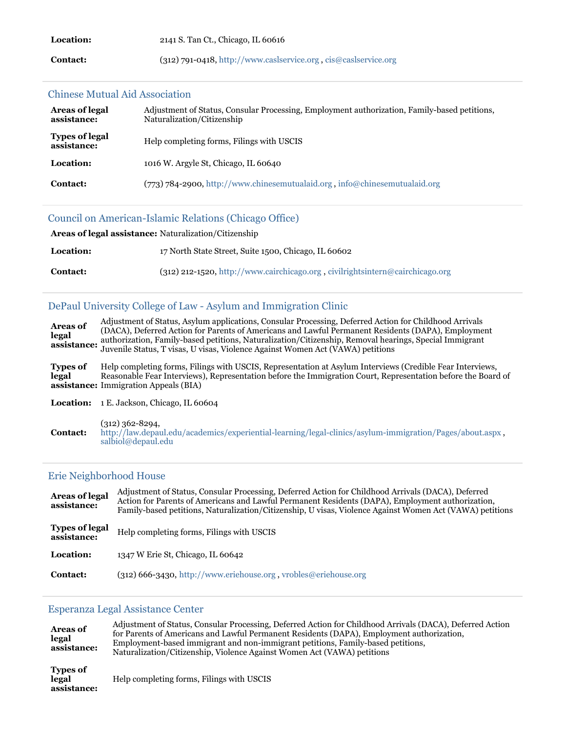| <b>Location:</b> | 2141 S. Tan Ct., Chicago, IL 60616                                |
|------------------|-------------------------------------------------------------------|
| <b>Contact:</b>  | $(312)$ 791-0418, http://www.caslservice.org, cis@caslservice.org |

#### [Chinese Mutual Aid Association](https://www.immigrationadvocates.org/nonprofit/legaldirectory/organization.392885-Chinese_Mutual_Aid_Association)

| Areas of legal<br>assistance:        | Adjustment of Status, Consular Processing, Employment authorization, Family-based petitions,<br>Naturalization/Citizenship |
|--------------------------------------|----------------------------------------------------------------------------------------------------------------------------|
| <b>Types of legal</b><br>assistance: | Help completing forms, Filings with USCIS                                                                                  |
| Location:                            | 1016 W. Argyle St. Chicago, IL 60640                                                                                       |
| <b>Contact:</b>                      | $(773)$ 784-2900, http://www.chinesemutualaid.org, info@chinesemutualaid.org                                               |

#### [Council on American-Islamic Relations \(Chicago Office\)](https://www.immigrationadvocates.org/nonprofit/legaldirectory/organization.392873-Council_on_AmericanIslamic_Relations_Chicago_Office)

| <b>Areas of legal assistance:</b> Naturalization/Citizenship |                                                                               |
|--------------------------------------------------------------|-------------------------------------------------------------------------------|
| <b>Location:</b>                                             | 17 North State Street, Suite 1500, Chicago, IL 60602                          |
| <b>Contact:</b>                                              | (312) 212-1520, http://www.cairchicago.org, civilrightsintern@cairchicago.org |

#### [DePaul University College of Law - Asylum and Immigration Clinic](https://www.immigrationadvocates.org/nonprofit/legaldirectory/organization.392884-DePaul_University_College_of_Law_Asylum_and_Immigration_Clinic)

**Areas of legal assistance:** authorization, Family-based petitions, Naturalization/Citizenship, Removal hearings, Special Immigrant Adjustment of Status, Asylum applications, Consular Processing, Deferred Action for Childhood Arrivals (DACA), Deferred Action for Parents of Americans and Lawful Permanent Residents (DAPA), Employment Juvenile Status, T visas, U visas, Violence Against Women Act (VAWA) petitions **Types of legal assistance:** Immigration Appeals (BIA) Help completing forms, Filings with USCIS, Representation at Asylum Interviews (Credible Fear Interviews, Reasonable Fear Interviews), Representation before the Immigration Court, Representation before the Board of

Location: 1 E. Jackson, Chicago, IL 60604

**Contact:** (312) 362-8294, <http://law.depaul.edu/academics/experiential-learning/legal-clinics/asylum-immigration/Pages/about.aspx> , [salbiol@depaul.edu](mailto:salbiol@depaul.edu)

#### [Erie Neighborhood House](https://www.immigrationadvocates.org/nonprofit/legaldirectory/organization.507249-Erie_Neighborhood_House)

| <b>Areas of legal</b><br>assistance: | Adjustment of Status, Consular Processing, Deferred Action for Childhood Arrivals (DACA), Deferred<br>Action for Parents of Americans and Lawful Permanent Residents (DAPA), Employment authorization,<br>Family-based petitions, Naturalization/Citizenship, U visas, Violence Against Women Act (VAWA) petitions |
|--------------------------------------|--------------------------------------------------------------------------------------------------------------------------------------------------------------------------------------------------------------------------------------------------------------------------------------------------------------------|
| <b>Types of legal</b><br>assistance: | Help completing forms, Filings with USCIS                                                                                                                                                                                                                                                                          |
| Location:                            | 1347 W Erie St, Chicago, IL 60642                                                                                                                                                                                                                                                                                  |
| <b>Contact:</b>                      | $(312)$ 666-3430, http://www.eriehouse.org, vrobles@eriehouse.org                                                                                                                                                                                                                                                  |

#### [Esperanza Legal Assistance Center](https://www.immigrationadvocates.org/nonprofit/legaldirectory/organization.628227-Esperanza_Legal_Assistance_Center)

| <b>Areas of</b><br>legal<br>assistance: | Adjustment of Status, Consular Processing, Deferred Action for Childhood Arrivals (DACA), Deferred Action<br>for Parents of Americans and Lawful Permanent Residents (DAPA), Employment authorization,<br>Employment-based immigrant and non-immigrant petitions, Family-based petitions,<br>Naturalization/Citizenship, Violence Against Women Act (VAWA) petitions |
|-----------------------------------------|----------------------------------------------------------------------------------------------------------------------------------------------------------------------------------------------------------------------------------------------------------------------------------------------------------------------------------------------------------------------|
| <b>Types of</b><br>legal<br>assistance: | Help completing forms, Filings with USCIS                                                                                                                                                                                                                                                                                                                            |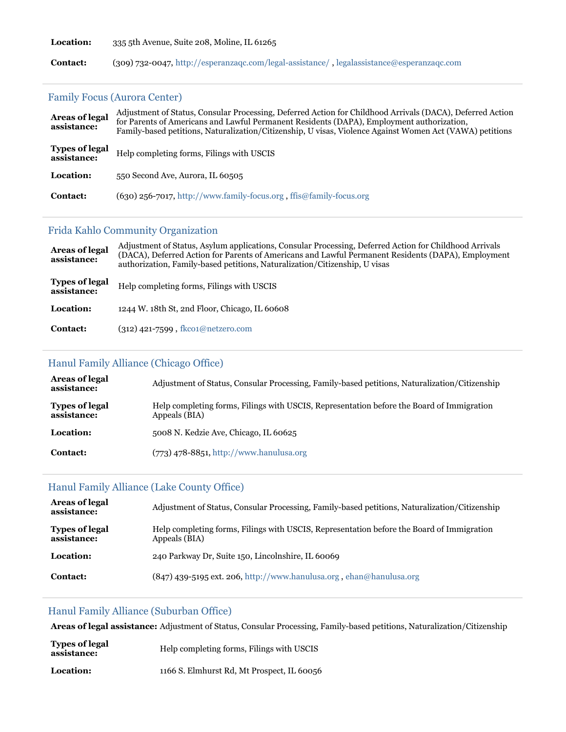**Location:** 335 5th Avenue, Suite 208, Moline, IL 61265

**Contact:** (309) 732-0047, <http://esperanzaqc.com/legal-assistance/> , [legalassistance@esperanzaqc.com](mailto:legalassistance@esperanzaqc.com)

### [Family Focus \(Aurora Center\)](https://www.immigrationadvocates.org/nonprofit/legaldirectory/organization.494593-Family_Focus_Aurora_Center)

| <b>Areas of legal</b><br>assistance: | Adjustment of Status, Consular Processing, Deferred Action for Childhood Arrivals (DACA), Deferred Action<br>for Parents of Americans and Lawful Permanent Residents (DAPA), Employment authorization,<br>Family-based petitions, Naturalization/Citizenship, U visas, Violence Against Women Act (VAWA) petitions |
|--------------------------------------|--------------------------------------------------------------------------------------------------------------------------------------------------------------------------------------------------------------------------------------------------------------------------------------------------------------------|
| <b>Types of legal</b><br>assistance: | Help completing forms, Filings with USCIS                                                                                                                                                                                                                                                                          |
| Location:                            | 550 Second Ave. Aurora, IL 60505                                                                                                                                                                                                                                                                                   |
| <b>Contact:</b>                      | $(630)$ 256-7017, http://www.family-focus.org, ffis@family-focus.org                                                                                                                                                                                                                                               |

### [Frida Kahlo Community Organization](https://www.immigrationadvocates.org/nonprofit/legaldirectory/organization.392865-Frida_Kahlo_Community_Organization)

| Areas of legal<br>assistance:        | Adjustment of Status, Asylum applications, Consular Processing, Deferred Action for Childhood Arrivals<br>(DACA), Deferred Action for Parents of Americans and Lawful Permanent Residents (DAPA), Employment<br>authorization, Family-based petitions, Naturalization/Citizenship, U visas |
|--------------------------------------|--------------------------------------------------------------------------------------------------------------------------------------------------------------------------------------------------------------------------------------------------------------------------------------------|
| <b>Types of legal</b><br>assistance: | Help completing forms, Filings with USCIS                                                                                                                                                                                                                                                  |
| Location:                            | 1244 W. 18th St, 2nd Floor, Chicago, IL 60608                                                                                                                                                                                                                                              |
| <b>Contact:</b>                      | $(312)$ 421-7599, fkco1@netzero.com                                                                                                                                                                                                                                                        |

# [Hanul Family Alliance \(Chicago Office\)](https://www.immigrationadvocates.org/nonprofit/legaldirectory/organization.494684-Hanul_Family_Alliance_Chicago_Office)

| Areas of legal<br>assistance:        | Adjustment of Status, Consular Processing, Family-based petitions, Naturalization/Citizenship              |
|--------------------------------------|------------------------------------------------------------------------------------------------------------|
| <b>Types of legal</b><br>assistance: | Help completing forms, Filings with USCIS, Representation before the Board of Immigration<br>Appeals (BIA) |
| Location:                            | 5008 N. Kedzie Ave, Chicago, IL 60625                                                                      |
| <b>Contact:</b>                      | $(773)$ 478-8851, http://www.hanulusa.org                                                                  |

### [Hanul Family Alliance \(Lake County Office\)](https://www.immigrationadvocates.org/nonprofit/legaldirectory/organization.494751-Hanul_Family_Alliance_Lake_County_Office)

| <b>Areas of legal</b><br>assistance: | Adjustment of Status, Consular Processing, Family-based petitions, Naturalization/Citizenship              |
|--------------------------------------|------------------------------------------------------------------------------------------------------------|
| <b>Types of legal</b><br>assistance: | Help completing forms, Filings with USCIS, Representation before the Board of Immigration<br>Appeals (BIA) |
| Location:                            | 240 Parkway Dr, Suite 150, Lincolnshire, IL 60069                                                          |
| <b>Contact:</b>                      | $(847)$ 439-5195 ext. 206, http://www.hanulusa.org, ehan@hanulusa.org                                      |

# [Hanul Family Alliance \(Suburban Office\)](https://www.immigrationadvocates.org/nonprofit/legaldirectory/organization.494687-Hanul_Family_Alliance_Suburban_Office)

**Areas of legal assistance:** Adjustment of Status, Consular Processing, Family-based petitions, Naturalization/Citizenship

| <b>Types of legal</b><br>assistance: | Help completing forms, Filings with USCIS  |
|--------------------------------------|--------------------------------------------|
| <b>Location:</b>                     | 1166 S. Elmhurst Rd, Mt Prospect, IL 60056 |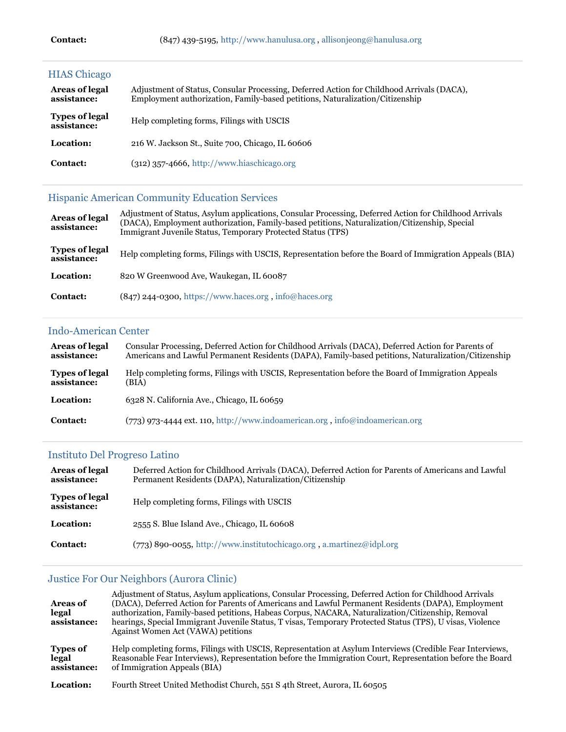| <b>HIAS Chicago</b>                  |                                                                                                                                                                           |
|--------------------------------------|---------------------------------------------------------------------------------------------------------------------------------------------------------------------------|
| <b>Areas of legal</b><br>assistance: | Adjustment of Status, Consular Processing, Deferred Action for Childhood Arrivals (DACA),<br>Employment authorization, Family-based petitions, Naturalization/Citizenship |
| <b>Types of legal</b><br>assistance: | Help completing forms, Filings with USCIS                                                                                                                                 |
| Location:                            | 216 W. Jackson St., Suite 700, Chicago, IL 60606                                                                                                                          |
| Contact:                             | (312) 357-4666, http://www.hiaschicago.org                                                                                                                                |

# [Hispanic American Community Education Services](https://www.immigrationadvocates.org/nonprofit/legaldirectory/organization.623009-Hispanic_American_Community_Education_Services)

| <b>Areas of legal</b><br>assistance: | Adjustment of Status, Asylum applications, Consular Processing, Deferred Action for Childhood Arrivals<br>(DACA), Employment authorization, Family-based petitions, Naturalization/Citizenship, Special<br>Immigrant Juvenile Status, Temporary Protected Status (TPS) |
|--------------------------------------|------------------------------------------------------------------------------------------------------------------------------------------------------------------------------------------------------------------------------------------------------------------------|
| <b>Types of legal</b><br>assistance: | Help completing forms, Filings with USCIS, Representation before the Board of Immigration Appeals (BIA)                                                                                                                                                                |
| Location:                            | 820 W Greenwood Ave, Waukegan, IL 60087                                                                                                                                                                                                                                |
| <b>Contact:</b>                      | $(847)$ 244-0300, https://www.haces.org, info@haces.org                                                                                                                                                                                                                |

#### [Indo-American Center](https://www.immigrationadvocates.org/nonprofit/legaldirectory/organization.392876-IndoAmerican_Center)

| Areas of legal        | Consular Processing, Deferred Action for Childhood Arrivals (DACA), Deferred Action for Parents of  |
|-----------------------|-----------------------------------------------------------------------------------------------------|
| assistance:           | Americans and Lawful Permanent Residents (DAPA), Family-based petitions, Naturalization/Citizenship |
| <b>Types of legal</b> | Help completing forms, Filings with USCIS, Representation before the Board of Immigration Appeals   |
| assistance:           | (BIA)                                                                                               |
| Location:             | 6328 N. California Ave., Chicago, IL 60659                                                          |
| <b>Contact:</b>       | $(773)$ 973-4444 ext. 110, http://www.indoamerican.org, info@indoamerican.org                       |

# [Instituto Del Progreso Latino](https://www.immigrationadvocates.org/nonprofit/legaldirectory/organization.496941-Instituto_Del_Progreso_Latino)

| Areas of legal<br>assistance:        | Deferred Action for Childhood Arrivals (DACA), Deferred Action for Parents of Americans and Lawful<br>Permanent Residents (DAPA), Naturalization/Citizenship |
|--------------------------------------|--------------------------------------------------------------------------------------------------------------------------------------------------------------|
| <b>Types of legal</b><br>assistance: | Help completing forms, Filings with USCIS                                                                                                                    |
| Location:                            | 2555 S. Blue Island Ave., Chicago, IL 60608                                                                                                                  |
| Contact:                             | $(773)$ 890-0055, http://www.institutochicago.org.a.martinez@idpl.org                                                                                        |

# [Justice For Our Neighbors \(Aurora Clinic\)](https://www.immigrationadvocates.org/nonprofit/legaldirectory/organization.486548-Justice_For_Our_Neighbors_Aurora_Clinic)

| <b>Areas of</b><br>legal<br>assistance: | Adjustment of Status, Asylum applications, Consular Processing, Deferred Action for Childhood Arrivals<br>(DACA), Deferred Action for Parents of Americans and Lawful Permanent Residents (DAPA), Employment<br>authorization, Family-based petitions, Habeas Corpus, NACARA, Naturalization/Citizenship, Removal<br>hearings, Special Immigrant Juvenile Status, T visas, Temporary Protected Status (TPS), U visas, Violence<br>Against Women Act (VAWA) petitions |
|-----------------------------------------|----------------------------------------------------------------------------------------------------------------------------------------------------------------------------------------------------------------------------------------------------------------------------------------------------------------------------------------------------------------------------------------------------------------------------------------------------------------------|
| <b>Types of</b><br>legal<br>assistance: | Help completing forms, Filings with USCIS, Representation at Asylum Interviews (Credible Fear Interviews,<br>Reasonable Fear Interviews), Representation before the Immigration Court, Representation before the Board<br>of Immigration Appeals (BIA)                                                                                                                                                                                                               |
| Location:                               | Fourth Street United Methodist Church, 551 S 4th Street, Aurora, IL 60505                                                                                                                                                                                                                                                                                                                                                                                            |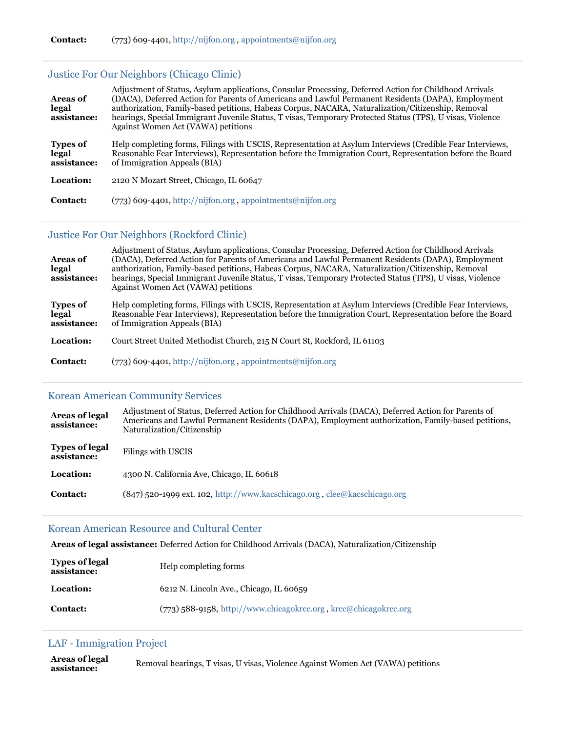### [Justice For Our Neighbors \(Chicago Clinic\)](https://www.immigrationadvocates.org/nonprofit/legaldirectory/organization.486633-Justice_For_Our_Neighbors_Chicago_Clinic)

| <b>Areas of</b><br>legal<br>assistance: | Adjustment of Status, Asylum applications, Consular Processing, Deferred Action for Childhood Arrivals<br>(DACA), Deferred Action for Parents of Americans and Lawful Permanent Residents (DAPA), Employment<br>authorization, Family-based petitions, Habeas Corpus, NACARA, Naturalization/Citizenship, Removal<br>hearings, Special Immigrant Juvenile Status, T visas, Temporary Protected Status (TPS), U visas, Violence<br>Against Women Act (VAWA) petitions |
|-----------------------------------------|----------------------------------------------------------------------------------------------------------------------------------------------------------------------------------------------------------------------------------------------------------------------------------------------------------------------------------------------------------------------------------------------------------------------------------------------------------------------|
| <b>Types of</b><br>legal<br>assistance: | Help completing forms, Filings with USCIS, Representation at Asylum Interviews (Credible Fear Interviews,<br>Reasonable Fear Interviews), Representation before the Immigration Court, Representation before the Board<br>of Immigration Appeals (BIA)                                                                                                                                                                                                               |
| Location:                               | 2120 N Mozart Street, Chicago, IL 60647                                                                                                                                                                                                                                                                                                                                                                                                                              |
| <b>Contact:</b>                         | (773) 609-4401, http://nijfon.org, appointments@nijfon.org                                                                                                                                                                                                                                                                                                                                                                                                           |

#### [Justice For Our Neighbors \(Rockford Clinic\)](https://www.immigrationadvocates.org/nonprofit/legaldirectory/organization.612231-Justice_For_Our_Neighbors_Rockford_Clinic)

| <b>Areas of</b><br>legal<br>assistance: | Adjustment of Status, Asylum applications, Consular Processing, Deferred Action for Childhood Arrivals<br>(DACA), Deferred Action for Parents of Americans and Lawful Permanent Residents (DAPA), Employment<br>authorization, Family-based petitions, Habeas Corpus, NACARA, Naturalization/Citizenship, Removal<br>hearings, Special Immigrant Juvenile Status, T visas, Temporary Protected Status (TPS), U visas, Violence<br>Against Women Act (VAWA) petitions |
|-----------------------------------------|----------------------------------------------------------------------------------------------------------------------------------------------------------------------------------------------------------------------------------------------------------------------------------------------------------------------------------------------------------------------------------------------------------------------------------------------------------------------|
| <b>Types of</b><br>legal<br>assistance: | Help completing forms, Filings with USCIS, Representation at Asylum Interviews (Credible Fear Interviews,<br>Reasonable Fear Interviews), Representation before the Immigration Court, Representation before the Board<br>of Immigration Appeals (BIA)                                                                                                                                                                                                               |
| Location:                               | Court Street United Methodist Church, 215 N Court St, Rockford, IL 61103                                                                                                                                                                                                                                                                                                                                                                                             |
| <b>Contact:</b>                         | $(773)$ 609-4401, http://nijfon.org, appointments@nijfon.org                                                                                                                                                                                                                                                                                                                                                                                                         |

### [Korean American Community Services](https://www.immigrationadvocates.org/nonprofit/legaldirectory/organization.497792-Korean_American_Community_Services)

| <b>Areas of legal</b><br>assistance: | Adjustment of Status, Deferred Action for Childhood Arrivals (DACA), Deferred Action for Parents of<br>Americans and Lawful Permanent Residents (DAPA), Employment authorization, Family-based petitions,<br>Naturalization/Citizenship |  |
|--------------------------------------|-----------------------------------------------------------------------------------------------------------------------------------------------------------------------------------------------------------------------------------------|--|
| <b>Types of legal</b><br>assistance: | Filings with USCIS                                                                                                                                                                                                                      |  |
| Location:                            | 4300 N. California Ave, Chicago, IL 60618                                                                                                                                                                                               |  |
| <b>Contact:</b>                      | (847) 520-1999 ext. 102, http://www.kacschicago.org, clee@kacschicago.org                                                                                                                                                               |  |

### [Korean American Resource and Cultural Center](https://www.immigrationadvocates.org/nonprofit/legaldirectory/organization.543558-Korean_American_Resource_and_Cultural_Center)

**Areas of legal assistance:** Deferred Action for Childhood Arrivals (DACA), Naturalization/Citizenship

| <b>Types of legal</b><br>assistance: | Help completing forms                                              |
|--------------------------------------|--------------------------------------------------------------------|
| Location:                            | 6212 N. Lincoln Ave., Chicago, IL 60659                            |
| <b>Contact:</b>                      | $(773)$ 588-9158, http://www.chicagokrcc.org, krcc@chicagokrcc.org |

### [LAF - Immigration Project](https://www.immigrationadvocates.org/nonprofit/legaldirectory/organization.392878-LAF_Immigration_Project)

**Areas of legal assistance:** Removal hearings, T visas, U visas, Violence Against Women Act (VAWA) petitions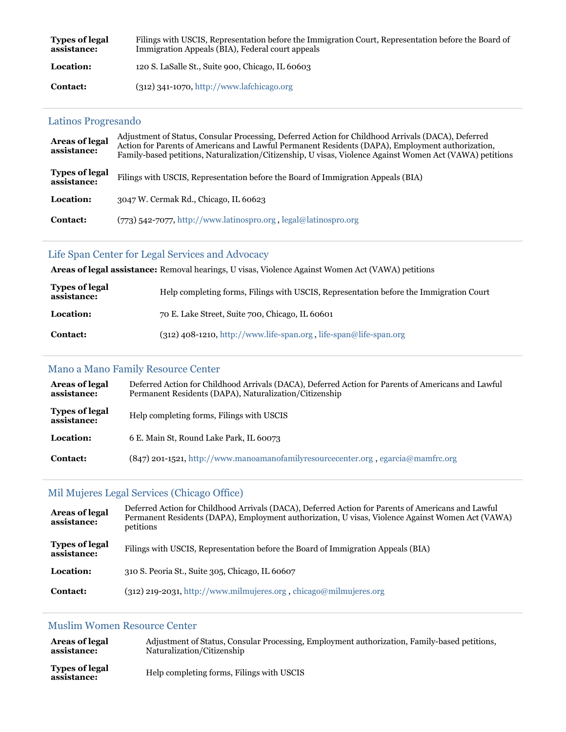| <b>Types of legal</b><br>assistance: | Filings with USCIS, Representation before the Immigration Court, Representation before the Board of<br>Immigration Appeals (BIA), Federal court appeals |
|--------------------------------------|---------------------------------------------------------------------------------------------------------------------------------------------------------|
| Location:                            | 120 S. LaSalle St., Suite 900, Chicago, IL 60603                                                                                                        |
| <b>Contact:</b>                      | $(312)$ 341-1070, http://www.lafchicago.org                                                                                                             |

### [Latinos Progresando](https://www.immigrationadvocates.org/nonprofit/legaldirectory/organization.406508-Latinos_Progresando)

| <b>Areas of legal</b><br>assistance: | Adjustment of Status, Consular Processing, Deferred Action for Childhood Arrivals (DACA), Deferred<br>Action for Parents of Americans and Lawful Permanent Residents (DAPA), Employment authorization,<br>Family-based petitions, Naturalization/Citizenship, U visas, Violence Against Women Act (VAWA) petitions |  |
|--------------------------------------|--------------------------------------------------------------------------------------------------------------------------------------------------------------------------------------------------------------------------------------------------------------------------------------------------------------------|--|
| <b>Types of legal</b><br>assistance: | Filings with USCIS, Representation before the Board of Immigration Appeals (BIA)                                                                                                                                                                                                                                   |  |
| Location:                            | 3047 W. Cermak Rd., Chicago, IL 60623                                                                                                                                                                                                                                                                              |  |
| Contact:                             | $(773)$ 542-7077, http://www.latinospro.org, legal@latinospro.org                                                                                                                                                                                                                                                  |  |

### [Life Span Center for Legal Services and Advocacy](https://www.immigrationadvocates.org/nonprofit/legaldirectory/organization.392879-Life_Span_Center_for_Legal_Services_and_Advocacy)

**Areas of legal assistance:** Removal hearings, U visas, Violence Against Women Act (VAWA) petitions

| <b>Types of legal</b><br>assistance: | Help completing forms, Filings with USCIS, Representation before the Immigration Court |
|--------------------------------------|----------------------------------------------------------------------------------------|
| Location:                            | 70 E. Lake Street, Suite 700, Chicago, IL 60601                                        |
| <b>Contact:</b>                      | $(312)$ 408-1210, http://www.life-span.org, life-span@life-span.org                    |

### [Mano a Mano Family Resource Center](https://www.immigrationadvocates.org/nonprofit/legaldirectory/organization.507989-Mano_a_Mano_Family_Resource_Center)

| Areas of legal<br>assistance:        | Deferred Action for Childhood Arrivals (DACA), Deferred Action for Parents of Americans and Lawful<br>Permanent Residents (DAPA), Naturalization/Citizenship |
|--------------------------------------|--------------------------------------------------------------------------------------------------------------------------------------------------------------|
| <b>Types of legal</b><br>assistance: | Help completing forms, Filings with USCIS                                                                                                                    |
| Location:                            | 6 E. Main St, Round Lake Park, IL 60073                                                                                                                      |
| <b>Contact:</b>                      | $(847)$ 201-1521, http://www.manoamanofamilyresourcecenter.org, egarcia@mamfrc.org                                                                           |

# [Mil Mujeres Legal Services \(Chicago Office\)](https://www.immigrationadvocates.org/nonprofit/legaldirectory/organization.545990-Mil_Mujeres_Legal_Services_Chicago_Office)

| <b>Areas of legal</b><br>assistance: | Deferred Action for Childhood Arrivals (DACA), Deferred Action for Parents of Americans and Lawful<br>Permanent Residents (DAPA), Employment authorization, U visas, Violence Against Women Act (VAWA)<br>petitions |
|--------------------------------------|---------------------------------------------------------------------------------------------------------------------------------------------------------------------------------------------------------------------|
| <b>Types of legal</b><br>assistance: | Filings with USCIS, Representation before the Board of Immigration Appeals (BIA)                                                                                                                                    |
| Location:                            | 310 S. Peoria St., Suite 305, Chicago, IL 60607                                                                                                                                                                     |
| <b>Contact:</b>                      | $(312)$ 219-2031, http://www.milmujeres.org, chicago@milmujeres.org                                                                                                                                                 |

### [Muslim Women Resource Center](https://www.immigrationadvocates.org/nonprofit/legaldirectory/organization.502746-Muslim_Women_Resource_Center)

| <b>Areas of legal</b>                | Adjustment of Status, Consular Processing, Employment authorization, Family-based petitions, |
|--------------------------------------|----------------------------------------------------------------------------------------------|
| assistance:                          | Naturalization/Citizenship                                                                   |
| <b>Types of legal</b><br>assistance: | Help completing forms, Filings with USCIS                                                    |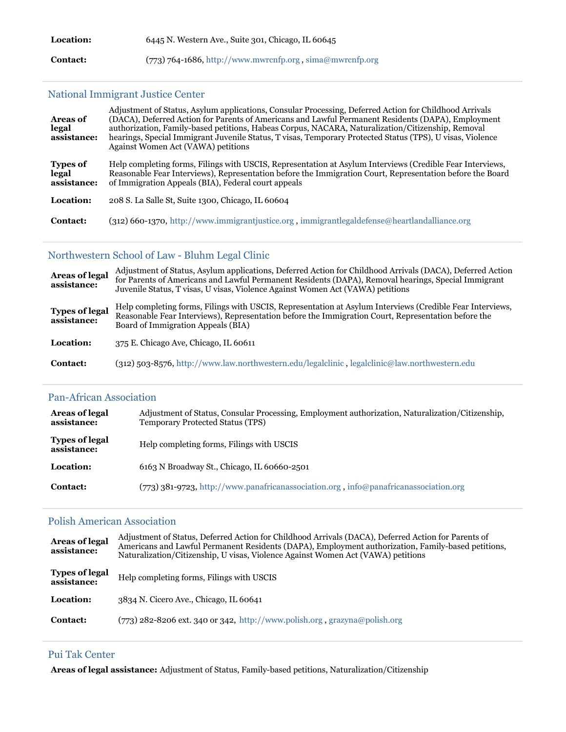| <b>Location:</b> | 6445 N. Western Ave., Suite 301, Chicago, IL 60645         |
|------------------|------------------------------------------------------------|
| <b>Contact:</b>  | $(773)$ 764-1686, http://www.mwrcnfp.org, sima@mwrcnfp.org |

# [National Immigrant Justice Center](https://www.immigrationadvocates.org/nonprofit/legaldirectory/organization.392874-National_Immigrant_Justice_Center)

| <b>Areas of</b><br>legal<br>assistance: | Adjustment of Status, Asylum applications, Consular Processing, Deferred Action for Childhood Arrivals<br>(DACA), Deferred Action for Parents of Americans and Lawful Permanent Residents (DAPA), Employment<br>authorization, Family-based petitions, Habeas Corpus, NACARA, Naturalization/Citizenship, Removal<br>hearings, Special Immigrant Juvenile Status, T visas, Temporary Protected Status (TPS), U visas, Violence<br>Against Women Act (VAWA) petitions |
|-----------------------------------------|----------------------------------------------------------------------------------------------------------------------------------------------------------------------------------------------------------------------------------------------------------------------------------------------------------------------------------------------------------------------------------------------------------------------------------------------------------------------|
| <b>Types of</b><br>legal<br>assistance: | Help completing forms, Filings with USCIS, Representation at Asylum Interviews (Credible Fear Interviews,<br>Reasonable Fear Interviews), Representation before the Immigration Court, Representation before the Board<br>of Immigration Appeals (BIA), Federal court appeals                                                                                                                                                                                        |
| Location:                               | 208 S. La Salle St, Suite 1300, Chicago, IL 60604                                                                                                                                                                                                                                                                                                                                                                                                                    |
| <b>Contact:</b>                         | $(312)$ 660-1370, http://www.immigrantjustice.org, immigrantlegaldefense@heartlandalliance.org                                                                                                                                                                                                                                                                                                                                                                       |

### [Northwestern School of Law - Bluhm Legal Clinic](https://www.immigrationadvocates.org/nonprofit/legaldirectory/organization.392880-Northwestern_School_of_Law_Bluhm_Legal_Clinic)

| <b>Areas of legal</b><br>assistance: | Adjustment of Status, Asylum applications, Deferred Action for Childhood Arrivals (DACA), Deferred Action<br>for Parents of Americans and Lawful Permanent Residents (DAPA), Removal hearings, Special Immigrant<br>Juvenile Status, T visas, U visas, Violence Against Women Act (VAWA) petitions |
|--------------------------------------|----------------------------------------------------------------------------------------------------------------------------------------------------------------------------------------------------------------------------------------------------------------------------------------------------|
| <b>Types of legal</b><br>assistance: | Help completing forms, Filings with USCIS, Representation at Asylum Interviews (Credible Fear Interviews,<br>Reasonable Fear Interviews), Representation before the Immigration Court, Representation before the<br>Board of Immigration Appeals (BIA)                                             |
| <b>Location:</b>                     | 375 E. Chicago Ave, Chicago, IL 60611                                                                                                                                                                                                                                                              |
| Contact:                             | $(312)$ 503-8576, http://www.law.northwestern.edu/legalclinic, legalclinic@law.northwestern.edu                                                                                                                                                                                                    |

## [Pan-African Association](https://www.immigrationadvocates.org/nonprofit/legaldirectory/organization.497246-PanAfrican_Association)

| Areas of legal<br>assistance:        | Adjustment of Status, Consular Processing, Employment authorization, Naturalization/Citizenship,<br>Temporary Protected Status (TPS) |
|--------------------------------------|--------------------------------------------------------------------------------------------------------------------------------------|
| <b>Types of legal</b><br>assistance: | Help completing forms, Filings with USCIS                                                                                            |
| Location:                            | 6163 N Broadway St., Chicago, IL 60660-2501                                                                                          |
| <b>Contact:</b>                      | (773) 381-9723, http://www.panafricanassociation.org, info@panafricanassociation.org                                                 |

# [Polish American Association](https://www.immigrationadvocates.org/nonprofit/legaldirectory/organization.392866-Polish_American_Association)

| <b>Areas of legal</b><br>assistance: | Adjustment of Status, Deferred Action for Childhood Arrivals (DACA), Deferred Action for Parents of<br>Americans and Lawful Permanent Residents (DAPA), Employment authorization, Family-based petitions,<br>Naturalization/Citizenship, U visas, Violence Against Women Act (VAWA) petitions |
|--------------------------------------|-----------------------------------------------------------------------------------------------------------------------------------------------------------------------------------------------------------------------------------------------------------------------------------------------|
| <b>Types of legal</b><br>assistance: | Help completing forms, Filings with USCIS                                                                                                                                                                                                                                                     |
| Location:                            | 3834 N. Cicero Ave., Chicago, IL 60641                                                                                                                                                                                                                                                        |
| <b>Contact:</b>                      | $(773)$ 282-8206 ext. 340 or 342, http://www.polish.org.grazyna@polish.org                                                                                                                                                                                                                    |

#### [Pui Tak Center](https://www.immigrationadvocates.org/nonprofit/legaldirectory/organization.494318-Pui_Tak_Center)

**Areas of legal assistance:** Adjustment of Status, Family-based petitions, Naturalization/Citizenship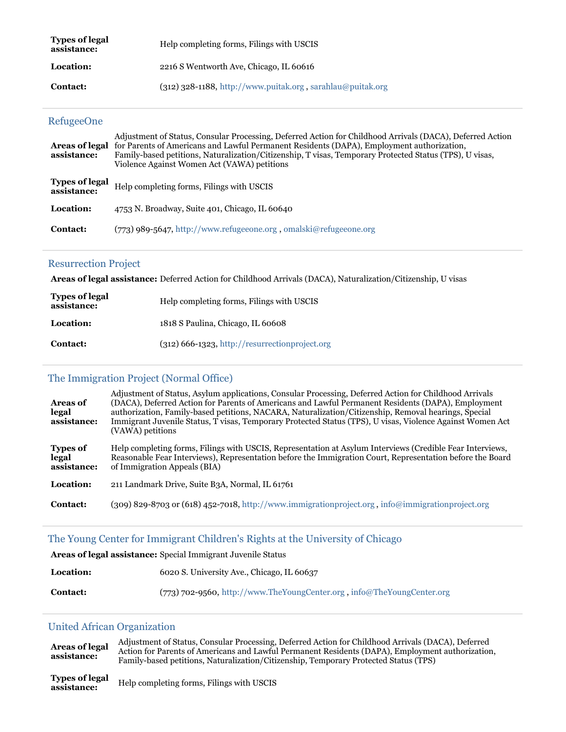| <b>Types of legal</b><br>assistance: | Help completing forms, Filings with USCIS                    |
|--------------------------------------|--------------------------------------------------------------|
| Location:                            | 2216 S Wentworth Ave, Chicago, IL 60616                      |
| <b>Contact:</b>                      | $(312)$ 328-1188, http://www.puitak.org, sarahlau@puitak.org |

#### [RefugeeOne](https://www.immigrationadvocates.org/nonprofit/legaldirectory/organization.497736-RefugeeOne)

| Areas of legal<br>assistance:        | Adjustment of Status, Consular Processing, Deferred Action for Childhood Arrivals (DACA), Deferred Action<br>for Parents of Americans and Lawful Permanent Residents (DAPA), Employment authorization,<br>Family-based petitions, Naturalization/Citizenship, T visas, Temporary Protected Status (TPS), U visas,<br>Violence Against Women Act (VAWA) petitions |
|--------------------------------------|------------------------------------------------------------------------------------------------------------------------------------------------------------------------------------------------------------------------------------------------------------------------------------------------------------------------------------------------------------------|
| <b>Types of legal</b><br>assistance: | Help completing forms, Filings with USCIS                                                                                                                                                                                                                                                                                                                        |
| Location:                            | 4753 N. Broadway, Suite 401, Chicago, IL 60640                                                                                                                                                                                                                                                                                                                   |
| Contact:                             | (773) 989-5647, http://www.refugeeone.org, omalski@refugeeone.org                                                                                                                                                                                                                                                                                                |

#### [Resurrection Project](https://www.immigrationadvocates.org/nonprofit/legaldirectory/organization.544011-Resurrection_Project)

**Areas of legal assistance:** Deferred Action for Childhood Arrivals (DACA), Naturalization/Citizenship, U visas

| <b>Types of legal</b><br>assistance: | Help completing forms, Filings with USCIS      |
|--------------------------------------|------------------------------------------------|
| Location:                            | 1818 S Paulina, Chicago, IL 60608              |
| <b>Contact:</b>                      | (312) 666-1323, http://resurrectionproject.org |

#### [The Immigration Project \(Normal Office\)](https://www.immigrationadvocates.org/nonprofit/legaldirectory/organization.392881-The_Immigration_Project_Normal_Office)

| <b>Areas of</b><br>legal<br>assistance: | Adjustment of Status, Asylum applications, Consular Processing, Deferred Action for Childhood Arrivals<br>(DACA), Deferred Action for Parents of Americans and Lawful Permanent Residents (DAPA), Employment<br>authorization, Family-based petitions, NACARA, Naturalization/Citizenship, Removal hearings, Special<br>Immigrant Juvenile Status, T visas, Temporary Protected Status (TPS), U visas, Violence Against Women Act<br>(VAWA) petitions |
|-----------------------------------------|-------------------------------------------------------------------------------------------------------------------------------------------------------------------------------------------------------------------------------------------------------------------------------------------------------------------------------------------------------------------------------------------------------------------------------------------------------|
| <b>Types of</b><br>legal<br>assistance: | Help completing forms, Filings with USCIS, Representation at Asylum Interviews (Credible Fear Interviews,<br>Reasonable Fear Interviews), Representation before the Immigration Court, Representation before the Board<br>of Immigration Appeals (BIA)                                                                                                                                                                                                |
| Location:                               | 211 Landmark Drive, Suite B3A, Normal, IL 61761                                                                                                                                                                                                                                                                                                                                                                                                       |
| <b>Contact:</b>                         | (309) 829-8703 or (618) 452-7018, http://www.immigrationproject.org, info@immigrationproject.org                                                                                                                                                                                                                                                                                                                                                      |

#### [The Young Center for Immigrant Children's Rights at the University of Chicago](https://www.immigrationadvocates.org/nonprofit/legaldirectory/organization.392887-The_Young_Center_for_Immigrant_Childrens_Rights_at_the_University_of_Chicag)

**Areas of legal assistance:** Special Immigrant Juvenile Status

| <b>Location:</b> | 6020 S. University Ave., Chicago, IL 60637                               |
|------------------|--------------------------------------------------------------------------|
| <b>Contact:</b>  | $(773)$ 702-9560, http://www.TheYoungCenter.org, info@TheYoungCenter.org |

#### [United African Organization](https://www.immigrationadvocates.org/nonprofit/legaldirectory/organization.494945-United_African_Organization)

**Areas of legal assistance:** Adjustment of Status, Consular Processing, Deferred Action for Childhood Arrivals (DACA), Deferred Action for Parents of Americans and Lawful Permanent Residents (DAPA), Employment authorization, Family-based petitions, Naturalization/Citizenship, Temporary Protected Status (TPS)

**Types of legal assistance:** Help completing forms, Filings with USCIS